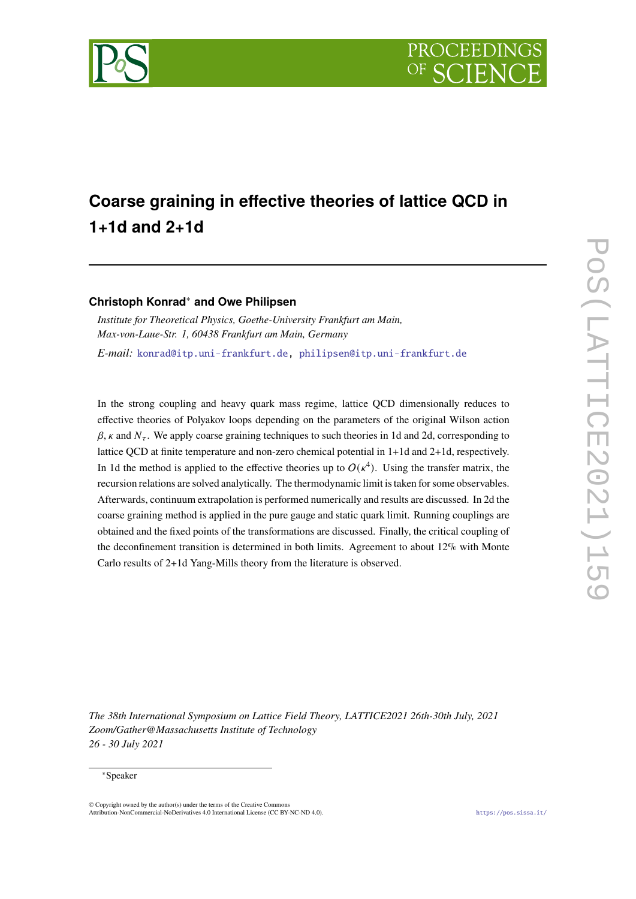

# **Coarse graining in effective theories of lattice QCD in 1+1d and 2+1d**

## **Christoph Konrad**<sup>∗</sup> **and Owe Philipsen**

*Institute for Theoretical Physics, Goethe-University Frankfurt am Main, Max-von-Laue-Str. 1, 60438 Frankfurt am Main, Germany E-mail:* [konrad@itp.uni-frankfurt.de,](mailto:konrad@itp.uni-frankfurt.de) [philipsen@itp.uni-frankfurt.de](mailto:philipsen@itp.uni-frankfurt.de)

In the strong coupling and heavy quark mass regime, lattice QCD dimensionally reduces to effective theories of Polyakov loops depending on the parameters of the original Wilson action  $\beta$ ,  $\kappa$  and  $N_{\tau}$ . We apply coarse graining techniques to such theories in 1d and 2d, corresponding to lattice QCD at finite temperature and non-zero chemical potential in 1+1d and 2+1d, respectively. In 1d the method is applied to the effective theories up to  $O(\kappa^4)$ . Using the transfer matrix, the recursion relations are solved analytically. The thermodynamic limit is taken for some observables. Afterwards, continuum extrapolation is performed numerically and results are discussed. In 2d the coarse graining method is applied in the pure gauge and static quark limit. Running couplings are obtained and the fixed points of the transformations are discussed. Finally, the critical coupling of the deconfinement transition is determined in both limits. Agreement to about 12% with Monte Carlo results of 2+1d Yang-Mills theory from the literature is observed.

*The 38th International Symposium on Lattice Field Theory, LATTICE2021 26th-30th July, 2021 Zoom/Gather@Massachusetts Institute of Technology 26 - 30 July 2021*

#### <sup>∗</sup>Speaker

<sup>©</sup> Copyright owned by the author(s) under the terms of the Creative Commons Attribution-NonCommercial-NoDerivatives 4.0 International License (CC BY-NC-ND 4.0). <https://pos.sissa.it/>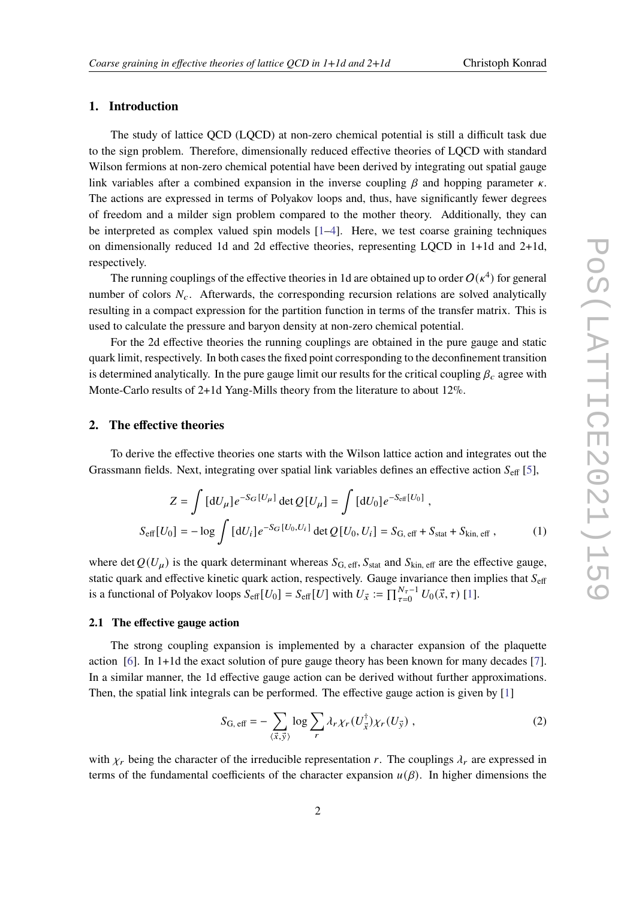### **1. Introduction**

The study of lattice QCD (LQCD) at non-zero chemical potential is still a difficult task due to the sign problem. Therefore, dimensionally reduced effective theories of LQCD with standard Wilson fermions at non-zero chemical potential have been derived by integrating out spatial gauge link variables after a combined expansion in the inverse coupling  $\beta$  and hopping parameter  $\kappa$ . The actions are expressed in terms of Polyakov loops and, thus, have significantly fewer degrees of freedom and a milder sign problem compared to the mother theory. Additionally, they can be interpreted as complex valued spin models [\[1–](#page-8-0)[4\]](#page-8-1). Here, we test coarse graining techniques on dimensionally reduced 1d and 2d effective theories, representing LQCD in 1+1d and 2+1d, respectively.

The running couplings of the effective theories in 1d are obtained up to order  $O(\kappa^4)$  for general number of colors  $N_c$ . Afterwards, the corresponding recursion relations are solved analytically resulting in a compact expression for the partition function in terms of the transfer matrix. This is used to calculate the pressure and baryon density at non-zero chemical potential.

For the 2d effective theories the running couplings are obtained in the pure gauge and static quark limit, respectively. In both cases the fixed point corresponding to the deconfinement transition is determined analytically. In the pure gauge limit our results for the critical coupling  $\beta_c$  agree with Monte-Carlo results of 2+1d Yang-Mills theory from the literature to about 12%.

#### **2. The effective theories**

To derive the effective theories one starts with the Wilson lattice action and integrates out the Grassmann fields. Next, integrating over spatial link variables defines an effective action  $S_{\text{eff}}$  [\[5\]](#page-9-0),

$$
Z = \int [dU_{\mu}] e^{-S_G[U_{\mu}]} \det Q[U_{\mu}] = \int [dU_0] e^{-S_{\text{eff}}[U_0]},
$$
  

$$
S_{\text{eff}}[U_0] = -\log \int [dU_i] e^{-S_G[U_0, U_i]} \det Q[U_0, U_i] = S_{G, \text{eff}} + S_{\text{stat}} + S_{\text{kin, eff}} ,
$$
 (1)

where det  $Q(U_u)$  is the quark determinant whereas  $S_{\text{G, eff}}$ ,  $S_{\text{stat}}$  and  $S_{\text{kin, eff}}$  are the effective gauge, static quark and effective kinetic quark action, respectively. Gauge invariance then implies that  $S_{\text{eff}}$ is a functional of Polyakov loops  $S_{\text{eff}}[U_0] = S_{\text{eff}}[U]$  with  $U_{\vec{x}} := \prod_{\tau=0}^{N_{\tau}-1} U_0(\vec{x}, \tau)$  [\[1\]](#page-8-0).

#### **2.1 The effective gauge action**

The strong coupling expansion is implemented by a character expansion of the plaquette action [\[6\]](#page-9-1). In 1+1d the exact solution of pure gauge theory has been known for many decades [\[7\]](#page-9-2). In a similar manner, the 1d effective gauge action can be derived without further approximations. Then, the spatial link integrals can be performed. The effective gauge action is given by [\[1\]](#page-8-0)

$$
S_{\text{G, eff}} = -\sum_{\langle \vec{x}, \vec{y} \rangle} \log \sum_{r} \lambda_r \chi_r(U_{\vec{x}}^{\dagger}) \chi_r(U_{\vec{y}}) , \qquad (2)
$$

with  $\chi_r$  being the character of the irreducible representation r. The couplings  $\lambda_r$  are expressed in terms of the fundamental coefficients of the character expansion  $u(\beta)$ . In higher dimensions the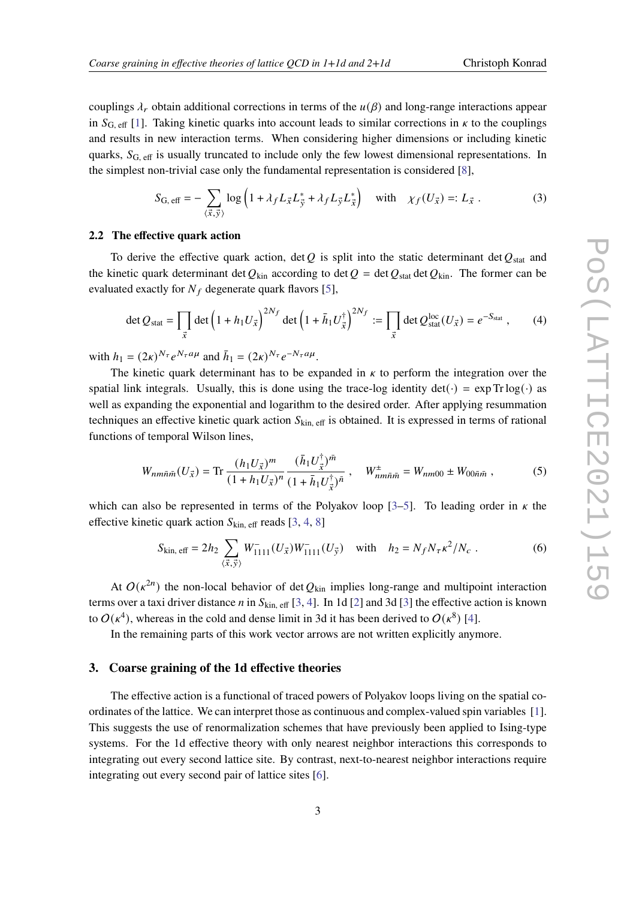couplings  $\lambda_r$  obtain additional corrections in terms of the  $u(\beta)$  and long-range interactions appear in  $S_{\text{G, eff}}$  [\[1\]](#page-8-0). Taking kinetic quarks into account leads to similar corrections in  $\kappa$  to the couplings and results in new interaction terms. When considering higher dimensions or including kinetic quarks,  $S_{\text{G, eff}}$  is usually truncated to include only the few lowest dimensional representations. In the simplest non-trivial case only the fundamental representation is considered [\[8\]](#page-9-3),

$$
S_{\text{G, eff}} = -\sum_{\langle \vec{x}, \vec{y} \rangle} \log \left( 1 + \lambda_f L_{\vec{x}} L_{\vec{y}}^* + \lambda_f L_{\vec{y}} L_{\vec{x}}^* \right) \quad \text{with} \quad \chi_f(U_{\vec{x}}) =: L_{\vec{x}} . \tag{3}
$$

#### **2.2 The effective quark action**

To derive the effective quark action, det Q is split into the static determinant det  $Q_{stat}$  and the kinetic quark determinant det  $Q_{\text{kin}}$  according to det  $Q = \text{det } Q_{\text{stat}}$  det  $Q_{\text{kin}}$ . The former can be evaluated exactly for  $N_f$  degenerate quark flavors [\[5\]](#page-9-0),

$$
\det Q_{\text{stat}} = \prod_{\vec{x}} \det \left( 1 + h_1 U_{\vec{x}} \right)^{2N_f} \det \left( 1 + \bar{h}_1 U_{\vec{x}}^{\dagger} \right)^{2N_f} := \prod_{\vec{x}} \det Q_{\text{stat}}^{\text{loc}}(U_{\vec{x}}) = e^{-S_{\text{stat}}}, \quad (4)
$$

with  $h_1 = (2\kappa)^{N_{\tau}} e^{N_{\tau} a \mu}$  and  $\bar{h}_1 = (2\kappa)^{N_{\tau}} e^{-N_{\tau} a \mu}$ .

The kinetic quark determinant has to be expanded in  $\kappa$  to perform the integration over the spatial link integrals. Usually, this is done using the trace-log identity  $det(\cdot) = exp Tr log(\cdot)$  as well as expanding the exponential and logarithm to the desired order. After applying resummation techniques an effective kinetic quark action  $S_{kin, eff}$  is obtained. It is expressed in terms of rational functions of temporal Wilson lines,

$$
W_{nm\bar{n}\bar{m}}(U_{\vec{x}}) = \text{Tr}\,\frac{(h_1 U_{\vec{x}})^m}{(1 + h_1 U_{\vec{x}})^n} \frac{(\bar{h}_1 U_{\vec{x}}^\dagger)^{\bar{m}}}{(1 + \bar{h}_1 U_{\vec{x}}^\dagger)^{\bar{n}}}, \quad W_{nm\bar{n}\bar{m}}^\pm = W_{nm00} \pm W_{00\bar{n}\bar{m}}\,,\tag{5}
$$

which can also be represented in terms of the Polyakov loop [\[3–](#page-8-2)[5\]](#page-9-0). To leading order in  $\kappa$  the effective kinetic quark action  $S_{kin, eff}$  reads [\[3,](#page-8-2) [4,](#page-8-1) [8\]](#page-9-3)

<span id="page-2-0"></span>
$$
S_{\text{kin, eff}} = 2h_2 \sum_{\langle \vec{x}, \vec{y} \rangle} W_{1111}^-(U_{\vec{x}}) W_{1111}^-(U_{\vec{y}}) \quad \text{with} \quad h_2 = N_f N_\tau \kappa^2 / N_c \ . \tag{6}
$$

At  $O(\kappa^{2n})$  the non-local behavior of det  $Q_{\text{kin}}$  implies long-range and multipoint interaction terms over a taxi driver distance *n* in  $S_{kin, eff}$  [\[3,](#page-8-2) [4\]](#page-8-1). In 1d [\[2\]](#page-8-3) and 3d [\[3\]](#page-8-2) the effective action is known to  $O(\kappa^4)$ , whereas in the cold and dense limit in 3d it has been derived to  $O(\kappa^8)$  [\[4\]](#page-8-1).

In the remaining parts of this work vector arrows are not written explicitly anymore.

#### **3. Coarse graining of the 1d effective theories**

The effective action is a functional of traced powers of Polyakov loops living on the spatial coordinates of the lattice. We can interpret those as continuous and complex-valued spin variables [\[1\]](#page-8-0). This suggests the use of renormalization schemes that have previously been applied to Ising-type systems. For the 1d effective theory with only nearest neighbor interactions this corresponds to integrating out every second lattice site. By contrast, next-to-nearest neighbor interactions require integrating out every second pair of lattice sites [\[6\]](#page-9-1).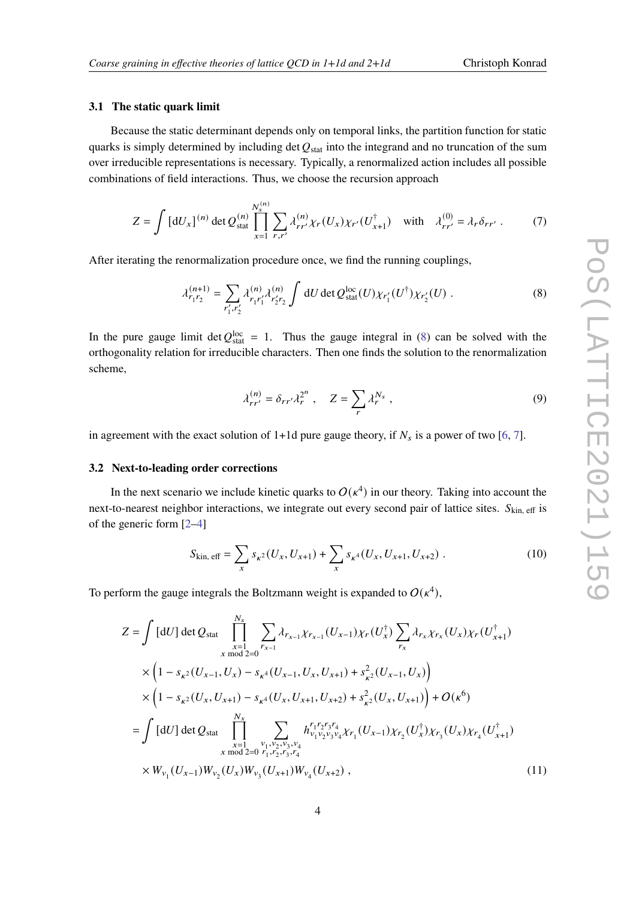#### **3.1 The static quark limit**

Because the static determinant depends only on temporal links, the partition function for static quarks is simply determined by including det  $Q_{stat}$  into the integrand and no truncation of the sum over irreducible representations is necessary. Typically, a renormalized action includes all possible combinations of field interactions. Thus, we choose the recursion approach

$$
Z = \int \left[ dU_x \right]^{(n)} \det Q_{\text{stat}}^{(n)} \prod_{x=1}^{N_s^{(n)}} \sum_{r,r'} \lambda_{rr'}^{(n)} \chi_r(U_x) \chi_{r'}(U_{x+1}^{\dagger}) \quad \text{with} \quad \lambda_{rr'}^{(0)} = \lambda_r \delta_{rr'} . \tag{7}
$$

After iterating the renormalization procedure once, we find the running couplings,

$$
\lambda_{r_1 r_2}^{(n+1)} = \sum_{r_1', r_2'} \lambda_{r_1 r_1'}^{(n)} \lambda_{r_2' r_2}^{(n)} \int dU \det Q_{\text{stat}}^{\text{loc}}(U) \chi_{r_1'}(U^{\dagger}) \chi_{r_2'}(U) . \tag{8}
$$

In the pure gauge limit det  $Q_{stat}^{loc} = 1$ . Thus the gauge integral in [\(8\)](#page-3-0) can be solved with the orthogonality relation for irreducible characters. Then one finds the solution to the renormalization scheme,

<span id="page-3-0"></span>
$$
\lambda_{rr'}^{(n)} = \delta_{rr'} \lambda_r^{2^n} , \quad Z = \sum_r \lambda_r^{N_s} , \qquad (9)
$$

in agreement with the exact solution of 1+1d pure gauge theory, if  $N_s$  is a power of two [\[6,](#page-9-1) [7\]](#page-9-2).

#### **3.2 Next-to-leading order corrections**

In the next scenario we include kinetic quarks to  $O(\kappa^4)$  in our theory. Taking into account the next-to-nearest neighbor interactions, we integrate out every second pair of lattice sites.  $S_{kin, eff}$  is of the generic form [\[2](#page-8-3)[–4\]](#page-8-1)

$$
S_{\text{kin, eff}} = \sum_{x} s_{\kappa^2} (U_x, U_{x+1}) + \sum_{x} s_{\kappa^4} (U_x, U_{x+1}, U_{x+2}) \tag{10}
$$

To perform the gauge integrals the Boltzmann weight is expanded to  $O(\kappa^4)$ ,

$$
Z = \int [dU] \det Q_{stat} \prod_{\substack{x=1 \ x \text{ mod } 2=0}}^{N_s} \sum_{r_{x-1}} \lambda_{r_{x-1}} \chi_{r_{x-1}} (U_{x-1}) \chi_r (U_x^{\dagger}) \sum_{r_x} \lambda_{r_x} \chi_{r_x} (U_x) \chi_r (U_{x+1}^{\dagger})
$$
  
\n
$$
\times \left(1 - s_{\kappa^2} (U_{x-1}, U_x) - s_{\kappa^4} (U_{x-1}, U_x, U_{x+1}) + s_{\kappa^2}^2 (U_{x-1}, U_x) \right)
$$
  
\n
$$
\times \left(1 - s_{\kappa^2} (U_x, U_{x+1}) - s_{\kappa^4} (U_x, U_{x+1}, U_{x+2}) + s_{\kappa^2}^2 (U_x, U_{x+1}) \right) + O(\kappa^6)
$$
  
\n
$$
= \int [dU] \det Q_{stat} \prod_{\substack{x=1 \ x \text{ mod } 2=0}}^{N_x} \sum_{\substack{r_1, r_2, r_3, r_4 \ r_1 \text{ mod } 2=0}} h_{r_1, r_2, r_3, r_4}^{r_1 r_2 r_3 r_4} \chi_{r_1} (U_{x-1}) \chi_{r_2} (U_x^{\dagger}) \chi_{r_3} (U_x) \chi_{r_4} (U_{x+1}^{\dagger})
$$
  
\n
$$
\times W_{v_1} (U_{x-1}) W_{v_2} (U_x) W_{v_3} (U_{x+1}) W_{v_4} (U_{x+2}), \qquad (11)
$$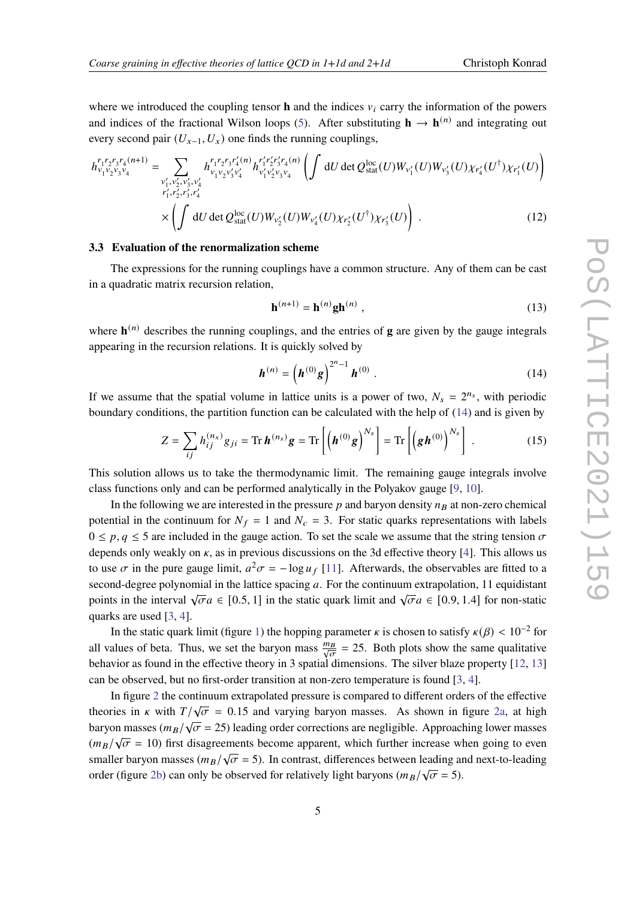where we introduced the coupling tensor **h** and the indices  $v_i$  carry the information of the powers and indices of the fractional Wilson loops [\(5\)](#page-2-0). After substituting  $h \to h^{(n)}$  and integrating out every second pair  $(U_{x-1}, U_x)$  one finds the running couplings,

$$
h_{v_1v_2v_3v_4}^{r_1r_2r_3r_4(n+1)} = \sum_{\substack{v'_1, v'_2, v'_3, v'_4 \\ r'_1, r'_2, r'_3, r'_4}} h_{v_1v_2v'_3v'_4}^{r_1r_2r_3r'_4(n)} h_{v'_1v'_2v_3v_4}^{r'_1r'_2r'_3r_4(n)} \left( \int dU \det Q_{stat}^{loc}(U) W_{v'_1}(U) W_{v'_3}(U) \chi_{r'_4}(U^{\dagger}) \chi_{r'_1}(U) \right) \cdot \times \left( \int dU \det Q_{stat}^{loc}(U) W_{v'_2}(U) W_{v'_4}(U) \chi_{r'_2}(U^{\dagger}) \chi_{r'_3}(U) \right) . \tag{12}
$$

#### **3.3 Evaluation of the renormalization scheme**

The expressions for the running couplings have a common structure. Any of them can be cast in a quadratic matrix recursion relation,

<span id="page-4-0"></span>
$$
\mathbf{h}^{(n+1)} = \mathbf{h}^{(n)} \mathbf{g} \mathbf{h}^{(n)} \tag{13}
$$

where  $\mathbf{h}^{(n)}$  describes the running couplings, and the entries of **g** are given by the gauge integrals appearing in the recursion relations. It is quickly solved by

$$
\boldsymbol{h}^{(n)} = \left(\boldsymbol{h}^{(0)}\boldsymbol{g}\right)^{2^{n}-1}\boldsymbol{h}^{(0)}\ .
$$
 (14)

If we assume that the spatial volume in lattice units is a power of two,  $N_s = 2^{n_s}$ , with periodic boundary conditions, the partition function can be calculated with the help of [\(14\)](#page-4-0) and is given by

$$
Z = \sum_{ij} h_{ij}^{(n_x)} g_{ji} = \text{Tr} \, \boldsymbol{h}^{(n_s)} \boldsymbol{g} = \text{Tr} \left[ \left( \boldsymbol{h}^{(0)} \boldsymbol{g} \right)^{N_s} \right] = \text{Tr} \left[ \left( \boldsymbol{g} \boldsymbol{h}^{(0)} \right)^{N_s} \right] \,. \tag{15}
$$

This solution allows us to take the thermodynamic limit. The remaining gauge integrals involve class functions only and can be performed analytically in the Polyakov gauge [\[9,](#page-9-4) [10\]](#page-9-5).

In the following we are interested in the pressure  $p$  and baryon density  $n<sub>B</sub>$  at non-zero chemical potential in the continuum for  $N_f = 1$  and  $N_c = 3$ . For static quarks representations with labels  $0 \le p, q \le 5$  are included in the gauge action. To set the scale we assume that the string tension  $\sigma$ depends only weakly on  $\kappa$ , as in previous discussions on the 3d effective theory [\[4\]](#page-8-1). This allows us to use  $\sigma$  in the pure gauge limit,  $a^2\sigma = -\log u_f$  [\[11\]](#page-9-6). Afterwards, the observables are fitted to a second-degree polynomial in the lattice spacing  $a$ . For the continuum extrapolation, 11 equidistant points in the interval  $\sqrt{\sigma}a \in [0.5, 1]$  in the static quark limit and  $\sqrt{\sigma}a \in [0.9, 1.4]$  for non-static quarks are used [\[3,](#page-8-2) [4\]](#page-8-1).

In the static quark limit (figure [1\)](#page-5-0) the hopping parameter  $\kappa$  is chosen to satisfy  $\kappa(\beta) < 10^{-2}$  for all values of beta. Thus, we set the baryon mass  $\frac{mg}{\sqrt{g}}$  $\frac{\partial B}{\partial \sigma}$  = 25. Both plots show the same qualitative behavior as found in the effective theory in 3 spatial dimensions. The silver blaze property [\[12,](#page-9-7) [13\]](#page-9-8) can be observed, but no first-order transition at non-zero temperature is found [\[3,](#page-8-2) [4\]](#page-8-1).

In figure [2](#page-6-0) the continuum extrapolated pressure is compared to different orders of the effective theories in *k* with  $T/\sqrt{\sigma} = 0.15$  and varying baryon masses. As shown in figure [2a,](#page-6-0) at high baryon masses ( $m_B/\sqrt{\sigma}$  = 25) leading order corrections are negligible. Approaching lower masses  $(m_B/\sqrt{\sigma} = 10)$  first disagreements become apparent, which further increase when going to even  $(m_B/\sqrt{v}) = 10$ ) inst disagreements become apparent, which ruttler increase when going to even<br>smaller baryon masses  $(m_B/\sqrt{\sigma} = 5)$ . In contrast, differences between leading and next-to-leading order (figure [2b\)](#page-6-0) can only be observed for relatively light baryons ( $m_B/\sqrt{\sigma} = 5$ ).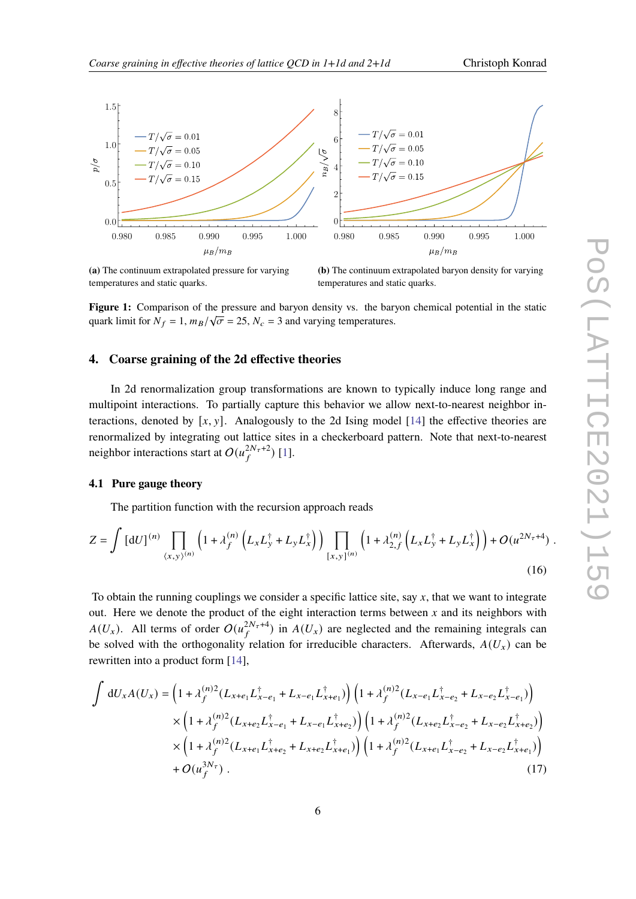<span id="page-5-0"></span>

**(a)** The continuum extrapolated pressure for varying temperatures and static quarks.

**(b)** The continuum extrapolated baryon density for varying temperatures and static quarks.

Figure 1: Comparison of the pressure and baryon density vs. the baryon chemical potential in the static quark limit for  $N_f = 1$ ,  $m_B/\sqrt{\sigma} = 25$ ,  $N_c = 3$  and varying temperatures.

## **4. Coarse graining of the 2d effective theories**

In 2d renormalization group transformations are known to typically induce long range and multipoint interactions. To partially capture this behavior we allow next-to-nearest neighbor interactions, denoted by  $[x, y]$ . Analogously to the 2d Ising model [\[14\]](#page-9-9) the effective theories are renormalized by integrating out lattice sites in a checkerboard pattern. Note that next-to-nearest neighbor interactions start at  $O(u_f^{2N_\tau+2})$  [\[1\]](#page-8-0).

## **4.1 Pure gauge theory**

The partition function with the recursion approach reads

$$
Z = \int \left[ dU \right]^{(n)} \prod_{\langle x, y \rangle^{(n)}} \left( 1 + \lambda_f^{(n)} \left( L_x L_y^{\dagger} + L_y L_x^{\dagger} \right) \right) \prod_{[x, y]^{(n)}} \left( 1 + \lambda_{2, f}^{(n)} \left( L_x L_y^{\dagger} + L_y L_x^{\dagger} \right) \right) + O(u^{2N_\tau + 4}) \tag{16}
$$

To obtain the running couplings we consider a specific lattice site, say  $x$ , that we want to integrate out. Here we denote the product of the eight interaction terms between  $x$  and its neighbors with  $A(U_x)$ . All terms of order  $O(u_f^{2N_\tau+4})$  in  $A(U_x)$  are neglected and the remaining integrals can be solved with the orthogonality relation for irreducible characters. Afterwards,  $A(U_x)$  can be rewritten into a product form [\[14\]](#page-9-9),

$$
\int dU_x A(U_x) = \left(1 + \lambda_f^{(n)2} (L_{x+e_1} L_{x-e_1}^{\dagger} + L_{x-e_1} L_{x+e_1}^{\dagger})\right) \left(1 + \lambda_f^{(n)2} (L_{x-e_1} L_{x-e_2}^{\dagger} + L_{x-e_2} L_{x-e_1}^{\dagger})\right) \times \left(1 + \lambda_f^{(n)2} (L_{x+e_2} L_{x-e_1}^{\dagger} + L_{x-e_1} L_{x+e_2}^{\dagger})\right) \left(1 + \lambda_f^{(n)2} (L_{x+e_2} L_{x-e_2}^{\dagger} + L_{x-e_2} L_{x+e_2}^{\dagger})\right) \times \left(1 + \lambda_f^{(n)2} (L_{x+e_1} L_{x+e_2}^{\dagger} + L_{x+e_2} L_{x+e_1}^{\dagger})\right) \left(1 + \lambda_f^{(n)2} (L_{x+e_1} L_{x-e_2}^{\dagger} + L_{x-e_2} L_{x+e_1}^{\dagger})\right) \n+ O(u_f^{3N_\tau}). \tag{17}
$$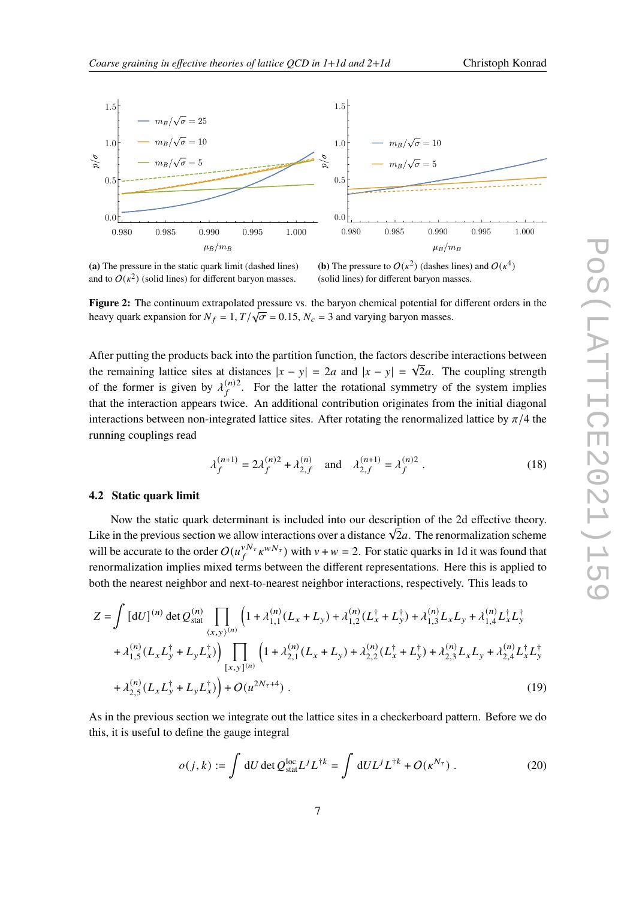<span id="page-6-0"></span>

**(a)** The pressure in the static quark limit (dashed lines) and to  $O(\kappa^2)$  (solid lines) for different baryon masses.

**(b)** The pressure to  $O(\kappa^2)$  (dashes lines) and  $O(\kappa^4)$ (solid lines) for different baryon masses.

**Figure 2:** The continuum extrapolated pressure vs. the baryon chemical potential for different orders in the heavy quark expansion for  $N_f = 1, T/\sqrt{\sigma} = 0.15, N_c = 3$  and varying baryon masses.

After putting the products back into the partition function, the factors describe interactions between the remaining lattice sites at distances  $|x - y| = 2a$  and  $|x - y| = \sqrt{2}a$ . The coupling strength of the former is given by  $\lambda_f^{(n)2}$ . For the latter the rotational symmetry of the system implies that the interaction appears twice. An additional contribution originates from the initial diagonal interactions between non-integrated lattice sites. After rotating the renormalized lattice by  $\pi/4$  the running couplings read

$$
\lambda_f^{(n+1)} = 2\lambda_f^{(n)2} + \lambda_{2,f}^{(n)} \quad \text{and} \quad \lambda_{2,f}^{(n+1)} = \lambda_f^{(n)2} \tag{18}
$$

#### **4.2 Static quark limit**

Now the static quark determinant is included into our description of the 2d effective theory. The previous section we allow interactions over a distance  $\sqrt{2}a$ . The renormalization scheme will be accurate to the order  $O(u_f^{vN_\tau} \kappa^{wN_\tau})$  with  $v + w = 2$ . For static quarks in 1d it was found that renormalization implies mixed terms between the different representations. Here this is applied to both the nearest neighbor and next-to-nearest neighbor interactions, respectively. This leads to

$$
Z = \int [dU]^{(n)} \det Q_{stat}^{(n)} \prod_{\langle x, y \rangle^{(n)}} \left( 1 + \lambda_{1,1}^{(n)} (L_x + L_y) + \lambda_{1,2}^{(n)} (L_x^{\dagger} + L_y^{\dagger}) + \lambda_{1,3}^{(n)} L_x L_y + \lambda_{1,4}^{(n)} L_x^{\dagger} L_y^{\dagger} + \lambda_{1,5}^{(n)} (L_x L_y^{\dagger} + L_y L_x^{\dagger}) \right) \prod_{[x,y]} \left( 1 + \lambda_{2,1}^{(n)} (L_x + L_y) + \lambda_{2,2}^{(n)} (L_x^{\dagger} + L_y^{\dagger}) + \lambda_{2,3}^{(n)} L_x L_y + \lambda_{2,4}^{(n)} L_x^{\dagger} L_y^{\dagger} + \lambda_{2,5}^{(n)} (L_x L_y^{\dagger} + L_y L_x^{\dagger}) \right) + O(u^{2N_{\tau}+4}).
$$
\n(19)

As in the previous section we integrate out the lattice sites in a checkerboard pattern. Before we do this, it is useful to define the gauge integral

$$
o(j,k) := \int dU \det Q_{\text{stat}}^{\text{loc}} L^{j} L^{\dagger k} = \int dU L^{j} L^{\dagger k} + O(\kappa^{N_{\tau}}) \,. \tag{20}
$$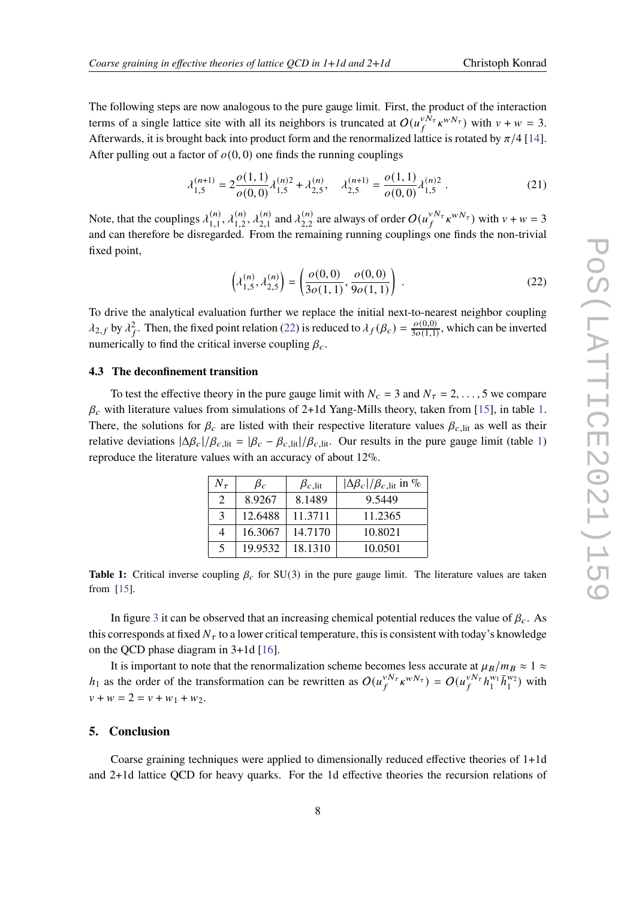The following steps are now analogous to the pure gauge limit. First, the product of the interaction terms of a single lattice site with all its neighbors is truncated at  $O(u_f^{\nu \bar{N}_\tau} \kappa^{wN_\tau})$  with  $\nu + w = 3$ . Afterwards, it is brought back into product form and the renormalized lattice is rotated by  $\pi/4$  [\[14\]](#page-9-9). After pulling out a factor of  $o(0, 0)$  one finds the running couplings

$$
\lambda_{1,5}^{(n+1)} = 2 \frac{o(1,1)}{o(0,0)} \lambda_{1,5}^{(n)2} + \lambda_{2,5}^{(n)}, \quad \lambda_{2,5}^{(n+1)} = \frac{o(1,1)}{o(0,0)} \lambda_{1,5}^{(n)2} .
$$
 (21)

Note, that the couplings  $\lambda_{1,1}^{(n)}$  $\lambda_{1,1}^{(n)}, \lambda_{1,2}^{(n)}$  $\lambda_{1,2}^{(n)}, \lambda_{2,1}^{(n)}$  $\chi_{2,1}^{(n)}$  and  $\lambda_{2,2}^{(n)}$  $_{2,2}^{(n)}$  are always of order  $O(u_f^{vN_\tau} \kappa^{wN_\tau})$  with  $v + w = 3$ and can therefore be disregarded. From the remaining running couplings one finds the non-trivial fixed point,

<span id="page-7-0"></span>
$$
\left(\lambda_{1,5}^{(n)}, \lambda_{2,5}^{(n)}\right) = \left(\frac{o(0,0)}{3o(1,1)}, \frac{o(0,0)}{9o(1,1)}\right) .
$$
\n(22)

To drive the analytical evaluation further we replace the initial next-to-nearest neighbor coupling  $\lambda_{2,f}$  by  $\lambda_f^2$ . Then, the fixed point relation [\(22\)](#page-7-0) is reduced to  $\lambda_f(\beta_c) = \frac{o(0,0)}{3o(1,1)}$  $\frac{\partial (0,0)}{\partial \rho(1,1)}$ , which can be inverted numerically to find the critical inverse coupling  $\beta_c$ .

#### **4.3 The deconfinement transition**

<span id="page-7-1"></span>To test the effective theory in the pure gauge limit with  $N_c = 3$  and  $N_{\tau} = 2, \ldots, 5$  we compare  $\beta_c$  with literature values from simulations of 2+1d Yang-Mills theory, taken from [\[15\]](#page-9-10), in table [1.](#page-7-1) There, the solutions for  $\beta_c$  are listed with their respective literature values  $\beta_{c,\text{lit}}$  as well as their relative deviations  $|\Delta \beta_c|/\beta_{c,\text{lit}} = |\beta_c - \beta_{c,\text{lit}}|/\beta_{c,\text{lit}}$ . Our results in the pure gauge limit (table [1\)](#page-7-1) reproduce the literature values with an accuracy of about 12%.

| $N_{\tau}$                  | $\beta_c$ | $\beta_{c, \text{lit}}$ | $ \Delta \beta_c /\beta_c$ , lit in % |
|-----------------------------|-----------|-------------------------|---------------------------------------|
| $\mathcal{D}_{\mathcal{L}}$ | 8.9267    | 8.1489                  | 9.5449                                |
| $\mathcal{F}$               | 12.6488   | 11.3711                 | 11.2365                               |
| 4                           | 16.3067   | 14.7170                 | 10.8021                               |
| 5                           | 19.9532   | 18.1310                 | 10.0501                               |

**Table 1:** Critical inverse coupling  $\beta_c$  for SU(3) in the pure gauge limit. The literature values are taken from [\[15\]](#page-9-10).

In figure [3](#page-8-4) it can be observed that an increasing chemical potential reduces the value of  $\beta_c$ . As this corresponds at fixed  $N<sub>\tau</sub>$  to a lower critical temperature, this is consistent with today's knowledge on the QCD phase diagram in 3+1d [\[16\]](#page-9-11).

It is important to note that the renormalization scheme becomes less accurate at  $\mu_B/m_B \approx 1 \approx$  $h_1$  as the order of the transformation can be rewritten as  $O(u_f^{vN_\tau} \kappa^{wN_\tau}) = O(u_f^{vN_\tau} h_1^{w_1})$  $\prod_{1}^{w_1} \bar{h}_1^{w_2}$ ) with  $v + w = 2 = v + w_1 + w_2.$ 

## **5. Conclusion**

Coarse graining techniques were applied to dimensionally reduced effective theories of 1+1d and 2+1d lattice QCD for heavy quarks. For the 1d effective theories the recursion relations of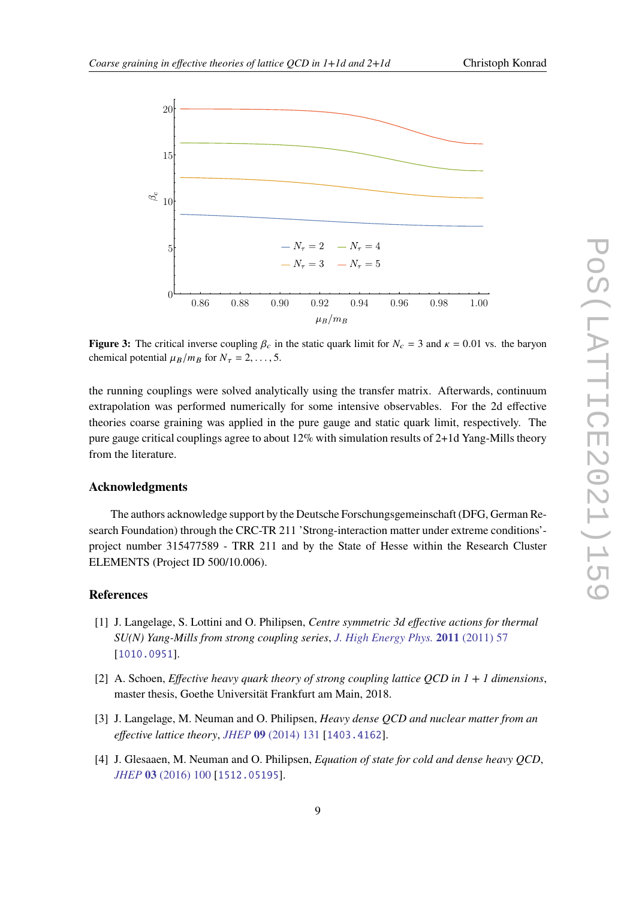<span id="page-8-4"></span>

**Figure 3:** The critical inverse coupling  $\beta_c$  in the static quark limit for  $N_c = 3$  and  $\kappa = 0.01$  vs. the baryon chemical potential  $\mu_B / m_B$  for  $N_\tau = 2, \ldots, 5$ .

the running couplings were solved analytically using the transfer matrix. Afterwards, continuum extrapolation was performed numerically for some intensive observables. For the 2d effective theories coarse graining was applied in the pure gauge and static quark limit, respectively. The pure gauge critical couplings agree to about 12% with simulation results of 2+1d Yang-Mills theory from the literature.

#### **Acknowledgments**

The authors acknowledge support by the Deutsche Forschungsgemeinschaft (DFG, German Research Foundation) through the CRC-TR 211 'Strong-interaction matter under extreme conditions' project number 315477589 - TRR 211 and by the State of Hesse within the Research Cluster ELEMENTS (Project ID 500/10.006).

## **References**

- <span id="page-8-0"></span>[1] J. Langelage, S. Lottini and O. Philipsen, *Centre symmetric 3d effective actions for thermal SU(N) Yang-Mills from strong coupling series*, *[J. High Energy Phys.](https://doi.org/10.1007/JHEP02(2011)057)* **2011** (2011) 57 [[1010.0951](https://arxiv.org/abs/1010.0951)].
- <span id="page-8-3"></span>[2] A. Schoen, *Effective heavy quark theory of strong coupling lattice QCD in 1 + 1 dimensions*, master thesis, Goethe Universität Frankfurt am Main, 2018.
- <span id="page-8-2"></span>[3] J. Langelage, M. Neuman and O. Philipsen, *Heavy dense QCD and nuclear matter from an effective lattice theory*, *JHEP* **09** [\(2014\) 131](https://doi.org/10.1007/JHEP09(2014)131) [[1403.4162](https://arxiv.org/abs/1403.4162)].
- <span id="page-8-1"></span>[4] J. Glesaaen, M. Neuman and O. Philipsen, *Equation of state for cold and dense heavy QCD*, *JHEP* **03** [\(2016\) 100](https://doi.org/10.1007/JHEP03(2016)100) [[1512.05195](https://arxiv.org/abs/1512.05195)].